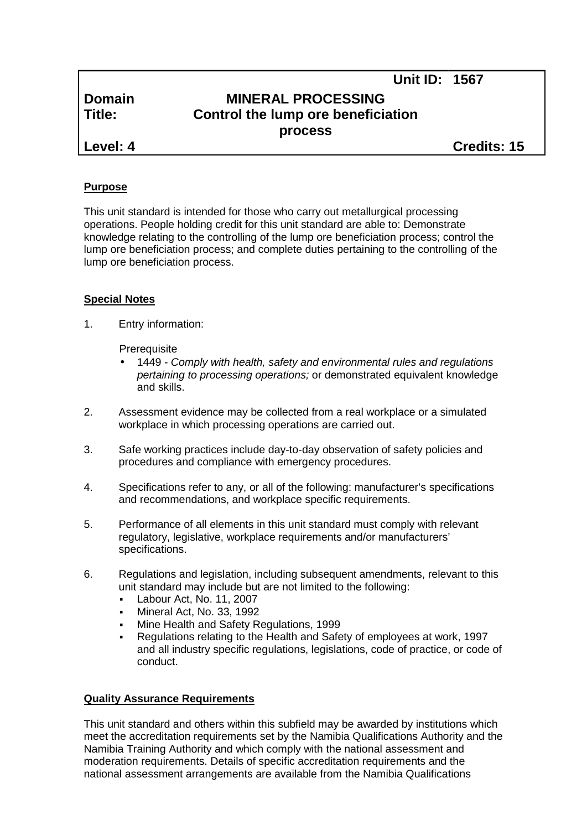# **Domain MINERAL PROCESSING Title: Control the lump ore beneficiation process**

**Level: 4 Credits: 15**

**Unit ID: 1567**

## **Purpose**

This unit standard is intended for those who carry out metallurgical processing operations. People holding credit for this unit standard are able to: Demonstrate knowledge relating to the controlling of the lump ore beneficiation process; control the lump ore beneficiation process; and complete duties pertaining to the controlling of the lump ore beneficiation process.

## **Special Notes**

1. Entry information:

**Prerequisite** 

- 1449 *- Comply with health, safety and environmental rules and regulations pertaining to processing operations;* or demonstrated equivalent knowledge and skills.
- 2. Assessment evidence may be collected from a real workplace or a simulated workplace in which processing operations are carried out.
- 3. Safe working practices include day-to-day observation of safety policies and procedures and compliance with emergency procedures.
- 4. Specifications refer to any, or all of the following: manufacturer's specifications and recommendations, and workplace specific requirements.
- 5. Performance of all elements in this unit standard must comply with relevant regulatory, legislative, workplace requirements and/or manufacturers' specifications.
- 6. Regulations and legislation, including subsequent amendments, relevant to this unit standard may include but are not limited to the following:
	- Labour Act, No. 11, 2007
	- Mineral Act, No. 33, 1992
	- Mine Health and Safety Regulations, 1999
	- Regulations relating to the Health and Safety of employees at work, 1997 and all industry specific regulations, legislations, code of practice, or code of conduct.

### **Quality Assurance Requirements**

This unit standard and others within this subfield may be awarded by institutions which meet the accreditation requirements set by the Namibia Qualifications Authority and the Namibia Training Authority and which comply with the national assessment and moderation requirements. Details of specific accreditation requirements and the national assessment arrangements are available from the Namibia Qualifications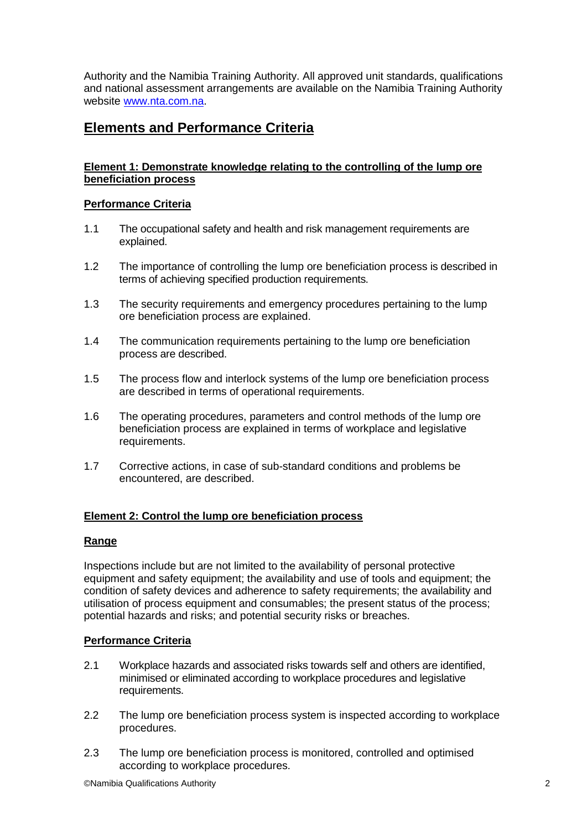Authority and the Namibia Training Authority. All approved unit standards, qualifications and national assessment arrangements are available on the Namibia Training Authority website www.nta.com.na.

## **Elements and Performance Criteria**

## **Element 1: Demonstrate knowledge relating to the controlling of the lump ore beneficiation process**

### **Performance Criteria**

- 1.1 The occupational safety and health and risk management requirements are explained.
- 1.2 The importance of controlling the lump ore beneficiation process is described in terms of achieving specified production requirements.
- 1.3 The security requirements and emergency procedures pertaining to the lump ore beneficiation process are explained.
- 1.4 The communication requirements pertaining to the lump ore beneficiation process are described.
- 1.5 The process flow and interlock systems of the lump ore beneficiation process are described in terms of operational requirements.
- 1.6 The operating procedures, parameters and control methods of the lump ore beneficiation process are explained in terms of workplace and legislative requirements.
- 1.7 Corrective actions, in case of sub-standard conditions and problems be encountered, are described.

## **Element 2: Control the lump ore beneficiation process**

### **Range**

Inspections include but are not limited to the availability of personal protective equipment and safety equipment; the availability and use of tools and equipment; the condition of safety devices and adherence to safety requirements; the availability and utilisation of process equipment and consumables; the present status of the process; potential hazards and risks; and potential security risks or breaches.

### **Performance Criteria**

- 2.1 Workplace hazards and associated risks towards self and others are identified, minimised or eliminated according to workplace procedures and legislative requirements.
- 2.2 The lump ore beneficiation process system is inspected according to workplace procedures.
- 2.3 The lump ore beneficiation process is monitored, controlled and optimised according to workplace procedures.